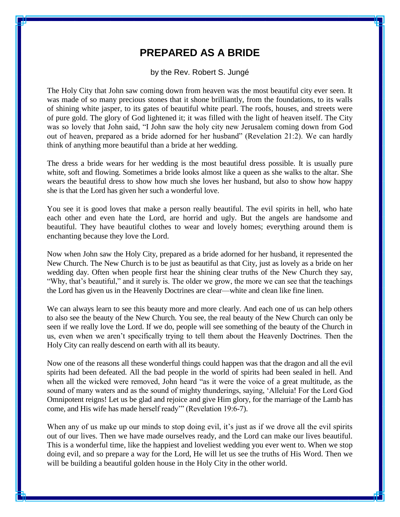## **PREPARED AS A BRIDE**

by the Rev. Robert S. Jungé

The Holy City that John saw coming down from heaven was the most beautiful city ever seen. It was made of so many precious stones that it shone brilliantly, from the foundations, to its walls of shining white jasper, to its gates of beautiful white pearl. The roofs, houses, and streets were of pure gold. The glory of God lightened it; it was filled with the light of heaven itself. The City was so lovely that John said, "I John saw the holy city new Jerusalem coming down from God out of heaven, prepared as a bride adorned for her husband" (Revelation 21:2). We can hardly think of anything more beautiful than a bride at her wedding.

The dress a bride wears for her wedding is the most beautiful dress possible. It is usually pure white, soft and flowing. Sometimes a bride looks almost like a queen as she walks to the altar. She wears the beautiful dress to show how much she loves her husband, but also to show how happy she is that the Lord has given her such a wonderful love.

You see it is good loves that make a person really beautiful. The evil spirits in hell, who hate each other and even hate the Lord, are horrid and ugly. But the angels are handsome and beautiful. They have beautiful clothes to wear and lovely homes; everything around them is enchanting because they love the Lord.

Now when John saw the Holy City, prepared as a bride adorned for her husband, it represented the New Church. The New Church is to be just as beautiful as that City, just as lovely as a bride on her wedding day. Often when people first hear the shining clear truths of the New Church they say, "Why, that's beautiful," and it surely is. The older we grow, the more we can see that the teachings the Lord has given us in the Heavenly Doctrines are clear—white and clean like fine linen.

We can always learn to see this beauty more and more clearly. And each one of us can help others to also see the beauty of the New Church. You see, the real beauty of the New Church can only be seen if we really love the Lord. If we do, people will see something of the beauty of the Church in us, even when we aren't specifically trying to tell them about the Heavenly Doctrines. Then the Holy City can really descend on earth with all its beauty.

Now one of the reasons all these wonderful things could happen was that the dragon and all the evil spirits had been defeated. All the bad people in the world of spirits had been sealed in hell. And when all the wicked were removed, John heard "as it were the voice of a great multitude, as the sound of many waters and as the sound of mighty thunderings, saying, 'Alleluia! For the Lord God Omnipotent reigns! Let us be glad and rejoice and give Him glory, for the marriage of the Lamb has come, and His wife has made herself ready'" (Revelation 19:6-7).

When any of us make up our minds to stop doing evil, it's just as if we drove all the evil spirits out of our lives. Then we have made ourselves ready, and the Lord can make our lives beautiful. This is a wonderful time, like the happiest and loveliest wedding you ever went to. When we stop doing evil, and so prepare a way for the Lord, He will let us see the truths of His Word. Then we will be building a beautiful golden house in the Holy City in the other world.